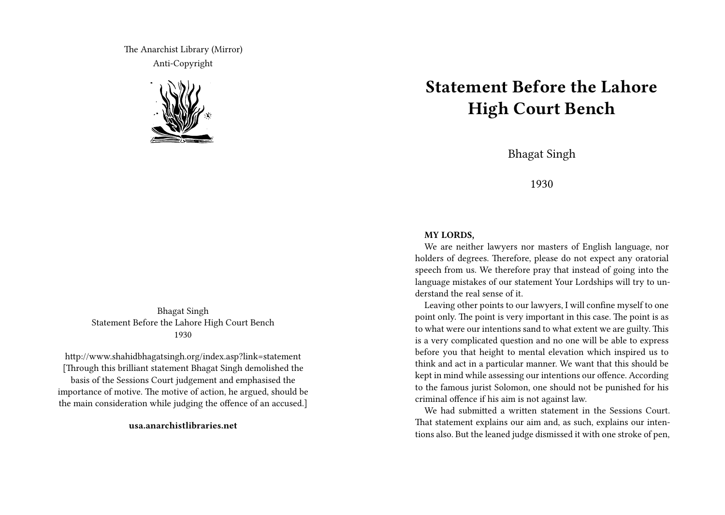The Anarchist Library (Mirror) Anti-Copyright



Bhagat Singh Statement Before the Lahore High Court Bench 1930

http://www.shahidbhagatsingh.org/index.asp?link=statement [Through this brilliant statement Bhagat Singh demolished the basis of the Sessions Court judgement and emphasised the importance of motive. The motive of action, he argued, should be the main consideration while judging the offence of an accused.]

**usa.anarchistlibraries.net**

## **Statement Before the Lahore High Court Bench**

Bhagat Singh

1930

## **MY LORDS,**

We are neither lawyers nor masters of English language, nor holders of degrees. Therefore, please do not expect any oratorial speech from us. We therefore pray that instead of going into the language mistakes of our statement Your Lordships will try to understand the real sense of it.

Leaving other points to our lawyers, I will confine myself to one point only. The point is very important in this case. The point is as to what were our intentions sand to what extent we are guilty. This is a very complicated question and no one will be able to express before you that height to mental elevation which inspired us to think and act in a particular manner. We want that this should be kept in mind while assessing our intentions our offence. According to the famous jurist Solomon, one should not be punished for his criminal offence if his aim is not against law.

We had submitted a written statement in the Sessions Court. That statement explains our aim and, as such, explains our intentions also. But the leaned judge dismissed it with one stroke of pen,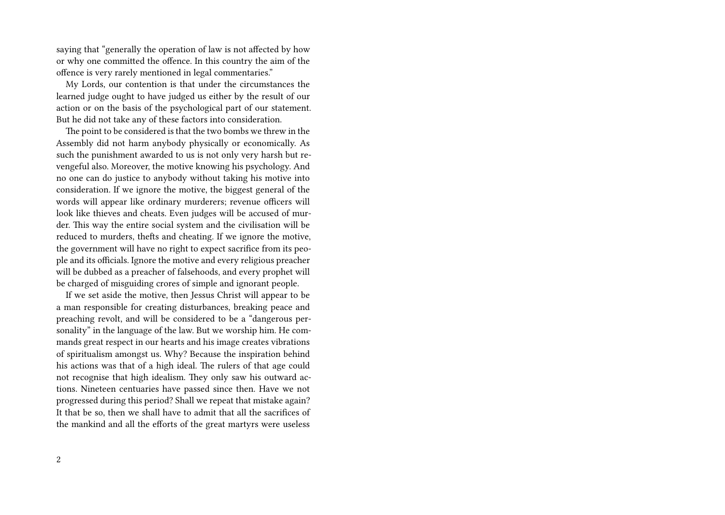saying that "generally the operation of law is not affected by how or why one committed the offence. In this country the aim of the offence is very rarely mentioned in legal commentaries."

My Lords, our contention is that under the circumstances the learned judge ought to have judged us either by the result of our action or on the basis of the psychological part of our statement. But he did not take any of these factors into consideration.

The point to be considered is that the two bombs we threw in the Assembly did not harm anybody physically or economically. As such the punishment awarded to us is not only very harsh but revengeful also. Moreover, the motive knowing his psychology. And no one can do justice to anybody without taking his motive into consideration. If we ignore the motive, the biggest general of the words will appear like ordinary murderers; revenue officers will look like thieves and cheats. Even judges will be accused of murder. This way the entire social system and the civilisation will be reduced to murders, thefts and cheating. If we ignore the motive, the government will have no right to expect sacrifice from its people and its officials. Ignore the motive and every religious preacher will be dubbed as a preacher of falsehoods, and every prophet will be charged of misguiding crores of simple and ignorant people.

If we set aside the motive, then Jessus Christ will appear to be a man responsible for creating disturbances, breaking peace and preaching revolt, and will be considered to be a "dangerous personality" in the language of the law. But we worship him. He commands great respect in our hearts and his image creates vibrations of spiritualism amongst us. Why? Because the inspiration behind his actions was that of a high ideal. The rulers of that age could not recognise that high idealism. They only saw his outward actions. Nineteen centuaries have passed since then. Have we not progressed during this period? Shall we repeat that mistake again? It that be so, then we shall have to admit that all the sacrifices of the mankind and all the efforts of the great martyrs were useless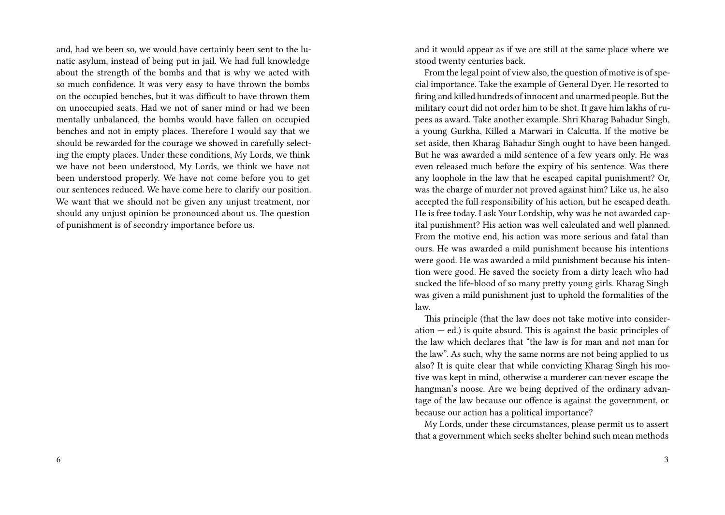and, had we been so, we would have certainly been sent to the lunatic asylum, instead of being put in jail. We had full knowledge about the strength of the bombs and that is why we acted with so much confidence. It was very easy to have thrown the bombs on the occupied benches, but it was difficult to have thrown them on unoccupied seats. Had we not of saner mind or had we been mentally unbalanced, the bombs would have fallen on occupied benches and not in empty places. Therefore I would say that we should be rewarded for the courage we showed in carefully selecting the empty places. Under these conditions, My Lords, we think we have not been understood, My Lords, we think we have not been understood properly. We have not come before you to get our sentences reduced. We have come here to clarify our position. We want that we should not be given any unjust treatment, nor should any unjust opinion be pronounced about us. The question of punishment is of secondry importance before us.

and it would appear as if we are still at the same place where we stood twenty centuries back.

From the legal point of view also, the question of motive is of special importance. Take the example of General Dyer. He resorted to firing and killed hundreds of innocent and unarmed people. But the military court did not order him to be shot. It gave him lakhs of rupees as award. Take another example. Shri Kharag Bahadur Singh, a young Gurkha, Killed a Marwari in Calcutta. If the motive be set aside, then Kharag Bahadur Singh ought to have been hanged. But he was awarded a mild sentence of a few years only. He was even released much before the expiry of his sentence. Was there any loophole in the law that he escaped capital punishment? Or, was the charge of murder not proved against him? Like us, he also accepted the full responsibility of his action, but he escaped death. He is free today. I ask Your Lordship, why was he not awarded capital punishment? His action was well calculated and well planned. From the motive end, his action was more serious and fatal than ours. He was awarded a mild punishment because his intentions were good. He was awarded a mild punishment because his intention were good. He saved the society from a dirty leach who had sucked the life-blood of so many pretty young girls. Kharag Singh was given a mild punishment just to uphold the formalities of the law.

This principle (that the law does not take motive into consideration  $-$  ed.) is quite absurd. This is against the basic principles of the law which declares that "the law is for man and not man for the law". As such, why the same norms are not being applied to us also? It is quite clear that while convicting Kharag Singh his motive was kept in mind, otherwise a murderer can never escape the hangman's noose. Are we being deprived of the ordinary advantage of the law because our offence is against the government, or because our action has a political importance?

My Lords, under these circumstances, please permit us to assert that a government which seeks shelter behind such mean methods